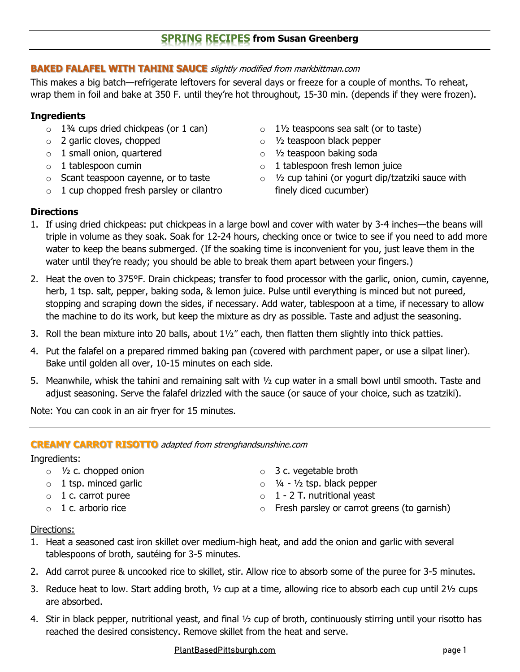# **SPRING RECIPES from Susan Greenberg**

#### **BAKED FALAFEL WITH TAHINI SAUCE** slightly modified from markbittman.com

This makes a big batch—refrigerate leftovers for several days or freeze for a couple of months. To reheat, wrap them in foil and bake at 350 F. until they're hot throughout, 15-30 min. (depends if they were frozen).

## **Ingredients**

- $\circ$  1<sup>3</sup>/<sub>4</sub> cups dried chickpeas (or 1 can)
- o 2 garlic cloves, chopped
- $\circ$  1 small onion, quartered
- $\circ$  1 tablespoon cumin
- o Scant teaspoon cayenne, or to taste
- $\circ$  1 cup chopped fresh parsley or cilantro
- $\circ$  1<sup>1</sup>/<sub>2</sub> teaspoons sea salt (or to taste)
- o ½ teaspoon black pepper
- o ½ teaspoon baking soda
- $\circ$  1 tablespoon fresh lemon juice
- $\circ$  1/<sub>2</sub> cup tahini (or yogurt dip/tzatziki sauce with finely diced cucumber)

## **Directions**

- 1. If using dried chickpeas: put chickpeas in a large bowl and cover with water by 3-4 inches—the beans will triple in volume as they soak. Soak for 12-24 hours, checking once or twice to see if you need to add more water to keep the beans submerged. (If the soaking time is inconvenient for you, just leave them in the water until they're ready; you should be able to break them apart between your fingers.)
- 2. Heat the oven to 375°F. Drain chickpeas; transfer to food processor with the garlic, onion, cumin, cayenne, herb, 1 tsp. salt, pepper, baking soda, & lemon juice. Pulse until everything is minced but not pureed, stopping and scraping down the sides, if necessary. Add water, tablespoon at a time, if necessary to allow the machine to do its work, but keep the mixture as dry as possible. Taste and adjust the seasoning.
- 3. Roll the bean mixture into 20 balls, about 1½" each, then flatten them slightly into thick patties.
- 4. Put the falafel on a prepared rimmed baking pan (covered with parchment paper, or use a silpat liner). Bake until golden all over, 10-15 minutes on each side.
- 5. Meanwhile, whisk the tahini and remaining salt with ½ cup water in a small bowl until smooth. Taste and adjust seasoning. Serve the falafel drizzled with the sauce (or sauce of your choice, such as tzatziki).

Note: You can cook in an air fryer for 15 minutes.

## **CREAMY CARROT RISOTTO** adapted from strenghandsunshine.com

## Ingredients:

- $\circ$  1/<sub>2</sub> c. chopped onion
- $\circ$  1 tsp. minced garlic
- $\circ$  1 c. carrot puree
- $\circ$  1 c. arborio rice
- o 3 c. vegetable broth
- $\circ$   $\frac{1}{4}$   $\frac{1}{2}$  tsp. black pepper
- $\circ$  1 2 T. nutritional yeast
- o Fresh parsley or carrot greens (to garnish)

## Directions:

- 1. Heat a seasoned cast iron skillet over medium-high heat, and add the onion and garlic with several tablespoons of broth, sautéing for 3-5 minutes.
- 2. Add carrot puree & uncooked rice to skillet, stir. Allow rice to absorb some of the puree for 3-5 minutes.
- 3. Reduce heat to low. Start adding broth,  $\frac{1}{2}$  cup at a time, allowing rice to absorb each cup until 2 $\frac{1}{2}$  cups are absorbed.
- 4. Stir in black pepper, nutritional yeast, and final ½ cup of broth, continuously stirring until your risotto has reached the desired consistency. Remove skillet from the heat and serve.

#### [PlantBasedPittsburgh.com](http://www.plantbasedpittsburgh.com/) page 1